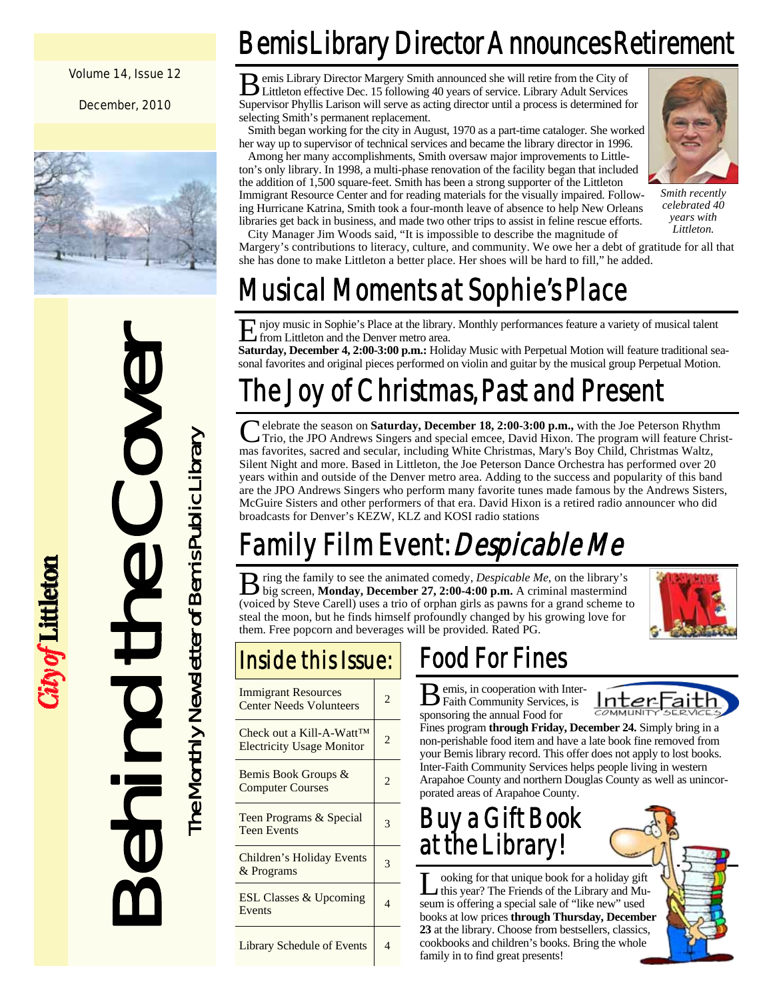### Volume 14, Issue 12

December, 2010





ity of Littleton

Bemis Library Director Announces Retirement

B emis Library Director Margery Smith announced she will retire from the City of Littleton effective Dec. 15 following 40 years of service. Library Adult Services Supervisor Phyllis Larison will serve as acting director until a process is determined for selecting Smith's permanent replacement.

 Smith began working for the city in August, 1970 as a part-time cataloger. She worked her way up to supervisor of technical services and became the library director in 1996.

 Among her many accomplishments, Smith oversaw major improvements to Littleton's only library. In 1998, a multi-phase renovation of the facility began that included the addition of 1,500 square-feet. Smith has been a strong supporter of the Littleton Immigrant Resource Center and for reading materials for the visually impaired. Following Hurricane Katrina, Smith took a four-month leave of absence to help New Orleans libraries get back in business, and made two other trips to assist in feline rescue efforts.



*Smith recently celebrated 40 years with Littleton.* 

 City Manager Jim Woods said, "It is impossible to describe the magnitude of Margery's contributions to literacy, culture, and community. We owe her a debt of gratitude for all that she has done to make Littleton a better place. Her shoes will be hard to fill," he added.

## Musical Moments at Sophie's Place

E njoy music in Sophie's Place at the library. Monthly performances feature a variety of musical talent from Littleton and the Denver metro area.

**Saturday, December 4, 2:00-3:00 p.m.:** Holiday Music with Perpetual Motion will feature traditional seasonal favorites and original pieces performed on violin and guitar by the musical group Perpetual Motion.

## The Joy of Christmas, Past and Present

C elebrate the season on **Saturday, December 18, 2:00-3:00 p.m.,** with the Joe Peterson Rhythm Trio, the JPO Andrews Singers and special emcee, David Hixon. The program will feature Christmas favorites, sacred and secular, including White Christmas, Mary's Boy Child, Christmas Waltz, Silent Night and more. Based in Littleton, the Joe Peterson Dance Orchestra has performed over 20 years within and outside of the Denver metro area. Adding to the success and popularity of this band are the JPO Andrews Singers who perform many favorite tunes made famous by the Andrews Sisters, McGuire Sisters and other performers of that era. David Hixon is a retired radio announcer who did broadcasts for Denver's KEZW, KLZ and KOSI radio stations

## Family Film Event: Despicable Me

B ring the family to see the animated comedy, *Despicable Me*, on the library's big screen, **Monday, December 27, 2:00-4:00 p.m.** A criminal mastermind (voiced by Steve Carell) uses a trio of orphan girls as pawns for a grand scheme to steal the moon, but he finds himself profoundly changed by his growing love for them. Free popcorn and beverages will be provided. Rated PG.



## Inside this Issue:

| <b>Immigrant Resources</b><br><b>Center Needs Volunteers</b>              | $\overline{c}$ |
|---------------------------------------------------------------------------|----------------|
| Check out a Kill-A-Watt <sup>TM</sup><br><b>Electricity Usage Monitor</b> | 2              |
| Bemis Book Groups &<br><b>Computer Courses</b>                            | 2              |
| Teen Programs & Special<br><b>Teen Events</b>                             | 3              |
| Children's Holiday Events<br>& Programs                                   | 3              |
| <b>ESL Classes &amp; Upcoming</b><br>Events                               | 4              |
| <b>Library Schedule of Events</b>                                         | 4              |

## Food For Fines

B emis, in cooperation with Inter-Faith Community Services, is sponsoring the annual Food for



Fines program **through Friday, December 24.** Simply bring in a non-perishable food item and have a late book fine removed from your Bemis library record. This offer does not apply to lost books. Inter-Faith Community Services helps people living in western Arapahoe County and northern Douglas County as well as unincorporated areas of Arapahoe County.

## Buy a Gift Book at the Library!

L ooking for that unique book for a holiday gift<br>this year? The Friends of the Library and Museum is offering a special sale of "like new" used books at low prices **through Thursday, December 23** at the library. Choose from bestsellers, classics, cookbooks and children's books. Bring the whole family in to find great presents!

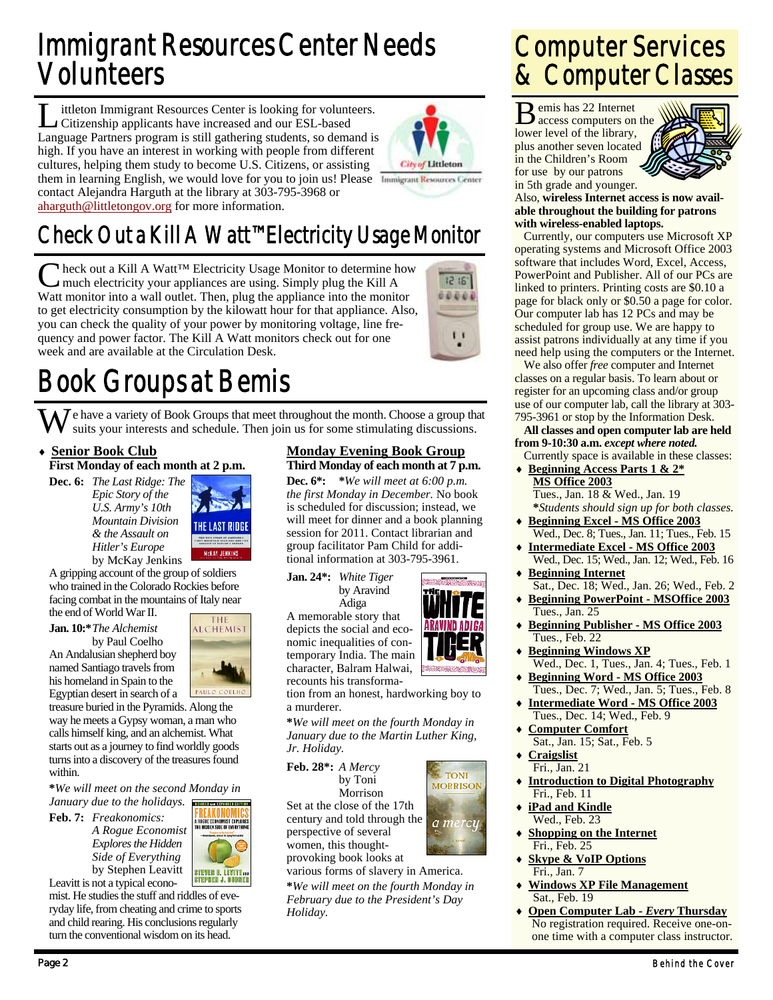## Immigrant Resources Center Needs Volunteers

L ittleton Immigrant Resources Center is looking for volunteers.<br>Citizenship applicants have increased and our ESL-based Language Partners program is still gathering students, so demand is high. If you have an interest in working with people from different cultures, helping them study to become U.S. Citizens, or assisting them in learning English, we would love for you to join us! Please Immigrant Resources Center contact Alejandra Harguth at the library at 303-795-3968 or aharguth@littletongov.org for more information.



## Check Out a Kill A Watt™ Electricity Usage Monitor

Neck out a Kill A Watt<sup>™</sup> Electricity Usage Monitor to determine how much electricity your appliances are using. Simply plug the Kill A Watt monitor into a wall outlet. Then, plug the appliance into the monitor to get electricity consumption by the kilowatt hour for that appliance. Also, you can check the quality of your power by monitoring voltage, line frequency and power factor. The Kill A Watt monitors check out for one week and are available at the Circulation Desk.



## Book Groups at Bemis

 $\bigvee$  e have a variety of Book Groups that meet throughout the month. Choose a group that suits your interests and schedule. Then join us for some stimulating discussions.

### **Senior Book Club First Monday of each month at 2 p.m.**

**Dec. 6:** *The Last Ridge: The Epic Story of the U.S. Army's 10th Mountain Division & the Assault on Hitler's Europe*  by McKay Jenkins



A gripping account of the group of soldiers who trained in the Colorado Rockies before facing combat in the mountains of Italy near

the end of World War II.

named Santiago travels from



**Jan. 10:\*** *The Alchemist*  by Paul Coelho An Andalusian shepherd boy

his homeland in Spain to the Egyptian desert in search of a treasure buried in the Pyramids. Along the way he meets a Gypsy woman, a man who calls himself king, and an alchemist. What

starts out as a journey to find worldly goods turns into a discovery of the treasures found within.

**\****We will meet on the second Monday in January due to the holidays.*  .<br>Cra ive cypaunce

**Feb. 7:** *Freakonomics: A Rogue Economist Explores the Hidden Side of Everything*  by Stephen Leavitt Leavitt is not a typical econo-



mist. He studies the stuff and riddles of everyday life, from cheating and crime to sports and child rearing. His conclusions regularly turn the conventional wisdom on its head.

### **Monday Evening Book Group Third Monday of each month at 7 p.m.**

**Dec. 6\*: \****We will meet at 6:00 p.m. the first Monday in December.* No book is scheduled for discussion; instead, we will meet for dinner and a book planning session for 2011. Contact librarian and group facilitator Pam Child for additional information at 303-795-3961.

**Jan. 24\*:** *White Tiger*  by Aravind

 Adiga A memorable story that depicts the social and economic inequalities of contemporary India. The main character, Balram Halwai,



**TONI MORRISON** 

a mercu

recounts his transformation from an honest, hardworking boy to a murderer.

**\****We will meet on the fourth Monday in January due to the Martin Luther King, Jr. Holiday.* 

**Feb. 28\*:** *A Mercy* 

by Toni Morrison Set at the close of the 17th century and told through the perspective of several

women, this thoughtprovoking book looks at

various forms of slavery in America. **\****We will meet on the fourth Monday in February due to the President's Day Holiday.* 

## Computer Services & Computer Classes

B emis has 22 Internet access computers on the lower level of the library, plus another seven located in the Children's Room for use by our patrons in 5th grade and younger.



Also, **wireless Internet access is now available throughout the building for patrons with wireless-enabled laptops.**

 Currently, our computers use Microsoft XP operating systems and Microsoft Office 2003 software that includes Word, Excel, Access, PowerPoint and Publisher. All of our PCs are linked to printers. Printing costs are \$0.10 a page for black only or \$0.50 a page for color. Our computer lab has 12 PCs and may be scheduled for group use. We are happy to assist patrons individually at any time if you need help using the computers or the Internet.

 We also offer *free* computer and Internet classes on a regular basis. To learn about or register for an upcoming class and/or group use of our computer lab, call the library at 303- 795-3961 or stop by the Information Desk.

### **All classes and open computer lab are held from 9-10:30 a.m.** *except where noted.*

 Currently space is available in these classes: **Beginning Access Parts 1 & 2\* MS Office 2003**

- Tues., Jan. 18 & Wed., Jan. 19  **\****Students should sign up for both classes.*  **Beginning Excel - MS Office 2003**
	- Wed., Dec. 8; Tues., Jan. 11; Tues., Feb. 15 **Intermediate Excel - MS Office 2003**
- Wed., Dec. 15; Wed., Jan. 12; Wed., Feb. 16 **Beginning Internet**
- Sat., Dec. 18; Wed., Jan. 26; Wed., Feb. 2 **Beginning PowerPoint - MSOffice 2003** Tues., Jan. 25
- **Beginning Publisher MS Office 2003** Tues., Feb. 22
- **Beginning Windows XP** Wed., Dec. 1, Tues., Jan. 4; Tues., Feb. 1
- **Beginning Word MS Office 2003** Tues., Dec. 7; Wed., Jan. 5; Tues., Feb. 8
- **Intermediate Word MS Office 2003** Tues., Dec. 14; Wed., Feb. 9
- **Computer Comfort** Sat., Jan. 15; Sat., Feb. 5
- **Craigslist** Fri., Jan. 21
- **Introduction to Digital Photography** Fri., Feb. 11
- **iPad and Kindle** Wed., Feb. 23
- **Shopping on the Internet** Fri., Feb. 25
- **Skype & VoIP Options** Fri., Jan. 7
- **Windows XP File Management** Sat., Feb. 19
- **Open Computer Lab** *Every* **Thursday** No registration required. Receive one-onone time with a computer class instructor.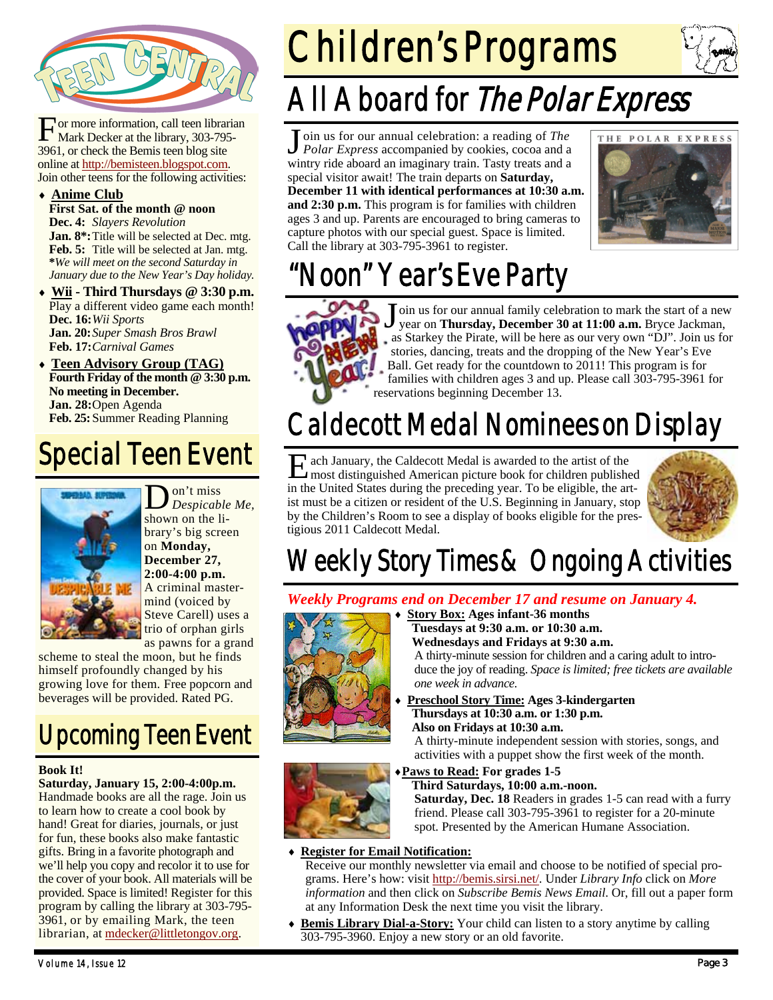

or more information, call teen librarian Mark Decker at the library, 303-795-3961, or check the Bemis teen blog site online at http://bemisteen.blogspot.com. Join other teens for the following activities:

### **Anime Club**

**First Sat. of the month @ noon Dec. 4:** *Slayers Revolution* Jan. 8<sup>\*</sup>: Title will be selected at Dec. mtg. **Feb. 5:** Title will be selected at Jan. mtg. **\****We will meet on the second Saturday in January due to the New Year's Day holiday.* 

- **Wii Third Thursdays @ 3:30 p.m.**  Play a different video game each month! **Dec. 16:** *Wii Sports*  **Jan. 20:** *Super Smash Bros Brawl*  **Feb. 17:** *Carnival Games*
- **Teen Advisory Group (TAG) Fourth Friday of the month @ 3:30 p.m. No meeting in December. Jan. 28: Open Agenda Feb. 25:** Summer Reading Planning

## Special Teen Event



D on't miss *Despicable Me,*  shown on the library's big screen on **Monday, December 27, 2:00-4:00 p.m.**  A criminal mastermind (voiced by Steve Carell) uses a trio of orphan girls as pawns for a grand

scheme to steal the moon, but he finds himself profoundly changed by his growing love for them. Free popcorn and beverages will be provided. Rated PG.

## Upcoming Teen Event

### **Book It!**

**Saturday, January 15, 2:00-4:00p.m.**  Handmade books are all the rage. Join us to learn how to create a cool book by hand! Great for diaries, journals, or just for fun, these books also make fantastic gifts. Bring in a favorite photograph and we'll help you copy and recolor it to use for the cover of your book. All materials will be provided. Space is limited! Register for this program by calling the library at 303-795- 3961, or by emailing Mark, the teen librarian, at mdecker@littletongov.org.

# Children's Programs



## All Aboard for The Polar Express

J oin us for our annual celebration: a reading of *The Polar Express* accompanied by cookies, cocoa and a wintry ride aboard an imaginary train. Tasty treats and a special visitor await! The train departs on **Saturday, December 11 with identical performances at 10:30 a.m. and 2:30 p.m.** This program is for families with children ages 3 and up. Parents are encouraged to bring cameras to capture photos with our special guest. Space is limited. Call the library at 303-795-3961 to register.



## "Noon" Year's Eve Party



J oin us for our annual family celebration to mark the start of a new year on **Thursday, December 30 at 11:00 a.m.** Bryce Jackman, as Starkey the Pirate, will be here as our very own "DJ". Join us for stories, dancing, treats and the dropping of the New Year's Eve Ball. Get ready for the countdown to 2011! This program is for families with children ages 3 and up. Please call 303-795-3961 for reservations beginning December 13.

## Caldecott Medal Nominees on Display

E ach January, the Caldecott Medal is awarded to the artist of the most distinguished American picture healt for skillars and the most distinguished American picture book for children published in the United States during the preceding year. To be eligible, the artist must be a citizen or resident of the U.S. Beginning in January, stop by the Children's Room to see a display of books eligible for the prestigious 2011 Caldecott Medal.



## Weekly Story Times & Ongoing Activities

### *Weekly Programs end on December 17 and resume on January 4.*  **Story Box: Ages infant-36 months**



 **Tuesdays at 9:30 a.m. or 10:30 a.m. Wednesdays and Fridays at 9:30 a.m.** 

A thirty-minute session for children and a caring adult to introduce the joy of reading. *Space is limited; free tickets are available one week in advance.* 

 **Preschool Story Time: Ages 3-kindergarten Thursdays at 10:30 a.m. or 1:30 p.m. Also on Fridays at 10:30 a.m.** 

A thirty-minute independent session with stories, songs, and activities with a puppet show the first week of the month.



### **Paws to Read: For grades 1-5**

 **Third Saturdays, 10:00 a.m.-noon. Saturday, Dec. 18** Readers in grades 1-5 can read with a furry friend. Please call 303-795-3961 to register for a 20-minute spot. Presented by the American Humane Association.

### **Register for Email Notification:**

Receive our monthly newsletter via email and choose to be notified of special programs. Here's how: visit http://bemis.sirsi.net/. Under *Library Info* click on *More information* and then click on *Subscribe Bemis News Email*. Or, fill out a paper form at any Information Desk the next time you visit the library.

 **Bemis Library Dial-a-Story:** Your child can listen to a story anytime by calling 303-795-3960. Enjoy a new story or an old favorite.